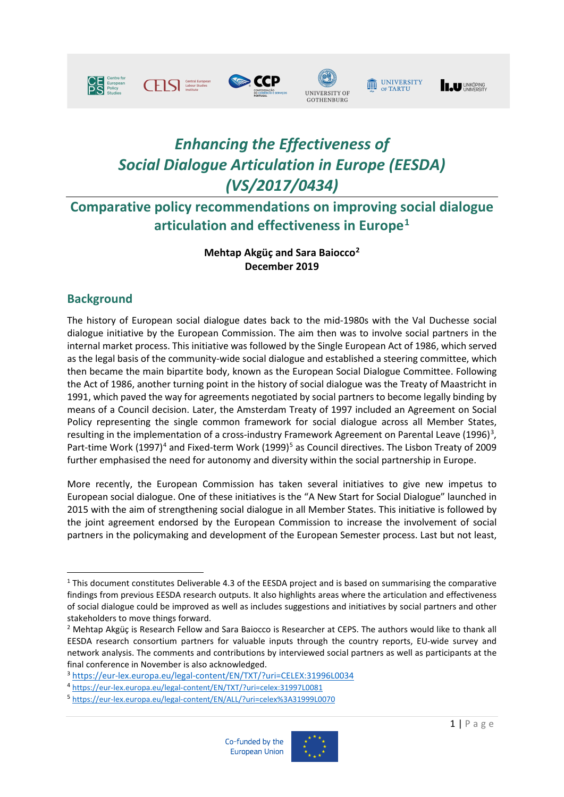





# UNIVERSITY

**IN UNIVERSITY** 

# *Enhancing the Effectiveness of Social Dialogue Articulation in Europe (EESDA) (VS/2017/0434)*

# **Comparative policy recommendations on improving social dialogue articulation and effectiveness in Europe[1](#page-0-0)**

### **Mehtap Akgüç and Sara Baiocco[2](#page-0-1) December 2019**

### **Background**

The history of European social dialogue dates back to the mid-1980s with the Val Duchesse social dialogue initiative by the European Commission. The aim then was to involve social partners in the internal market process. This initiative was followed by the Single European Act of 1986, which served as the legal basis of the community-wide social dialogue and established a steering committee, which then became the main bipartite body, known as the European Social Dialogue Committee. Following the Act of 1986, another turning point in the history of social dialogue was the Treaty of Maastricht in 1991, which paved the way for agreements negotiated by social partners to become legally binding by means of a Council decision. Later, the Amsterdam Treaty of 1997 included an Agreement on Social Policy representing the single common framework for social dialogue across all Member States, resulting in the implementation of a cross-industry Framework Agreement on Parental Leave (1996)<sup>[3](#page-0-2)</sup>, Part-time Work (1997)<sup>[4](#page-0-3)</sup> and Fixed-term Work (1999)<sup>[5](#page-0-4)</sup> as Council directives. The Lisbon Treaty of 2009 further emphasised the need for autonomy and diversity within the social partnership in Europe.

More recently, the European Commission has taken several initiatives to give new impetus to European social dialogue. One of these initiatives is the "A New Start for Social Dialogue" launched in 2015 with the aim of strengthening social dialogue in all Member States. This initiative is followed by the joint agreement endorsed by the European Commission to increase the involvement of social partners in the policymaking and development of the European Semester process. Last but not least,

<span id="page-0-4"></span><sup>5</sup> <https://eur-lex.europa.eu/legal-content/EN/ALL/?uri=celex%3A31999L0070>





<span id="page-0-0"></span><sup>1</sup> This document constitutes Deliverable 4.3 of the EESDA project and is based on summarising the comparative findings from previous EESDA research outputs. It also highlights areas where the articulation and effectiveness of social dialogue could be improved as well as includes suggestions and initiatives by social partners and other stakeholders to move things forward.

<span id="page-0-1"></span><sup>&</sup>lt;sup>2</sup> Mehtap Akgüç is Research Fellow and Sara Baiocco is Researcher at CEPS. The authors would like to thank all EESDA research consortium partners for valuable inputs through the country reports, EU-wide survey and network analysis. The comments and contributions by interviewed social partners as well as participants at the final conference in November is also acknowledged.

<span id="page-0-2"></span><sup>3</sup> <https://eur-lex.europa.eu/legal-content/EN/TXT/?uri=CELEX:31996L0034>

<span id="page-0-3"></span><sup>4</sup> <https://eur-lex.europa.eu/legal-content/EN/TXT/?uri=celex:31997L0081>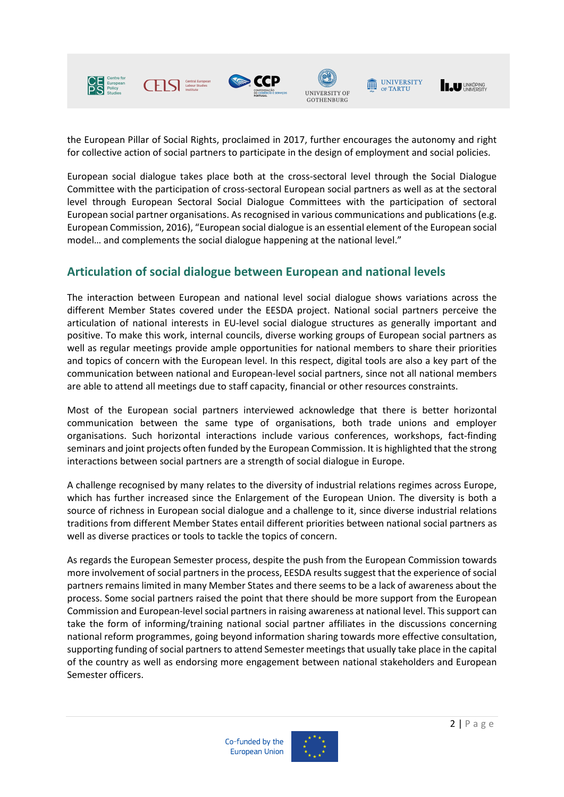

the European Pillar of Social Rights, proclaimed in 2017, further encourages the autonomy and right for collective action of social partners to participate in the design of employment and social policies.

European social dialogue takes place both at the cross-sectoral level through the Social Dialogue Committee with the participation of cross-sectoral European social partners as well as at the sectoral level through European Sectoral Social Dialogue Committees with the participation of sectoral European social partner organisations. As recognised in various communications and publications (e.g. European Commission, 2016), "European social dialogue is an essential element of the European social model… and complements the social dialogue happening at the national level."

### **Articulation of social dialogue between European and national levels**

The interaction between European and national level social dialogue shows variations across the different Member States covered under the EESDA project. National social partners perceive the articulation of national interests in EU-level social dialogue structures as generally important and positive. To make this work, internal councils, diverse working groups of European social partners as well as regular meetings provide ample opportunities for national members to share their priorities and topics of concern with the European level. In this respect, digital tools are also a key part of the communication between national and European-level social partners, since not all national members are able to attend all meetings due to staff capacity, financial or other resources constraints.

Most of the European social partners interviewed acknowledge that there is better horizontal communication between the same type of organisations, both trade unions and employer organisations. Such horizontal interactions include various conferences, workshops, fact-finding seminars and joint projects often funded by the European Commission. It is highlighted that the strong interactions between social partners are a strength of social dialogue in Europe.

A challenge recognised by many relates to the diversity of industrial relations regimes across Europe, which has further increased since the Enlargement of the European Union. The diversity is both a source of richness in European social dialogue and a challenge to it, since diverse industrial relations traditions from different Member States entail different priorities between national social partners as well as diverse practices or tools to tackle the topics of concern.

As regards the European Semester process, despite the push from the European Commission towards more involvement of social partners in the process, EESDA results suggest that the experience of social partners remains limited in many Member States and there seems to be a lack of awareness about the process. Some social partners raised the point that there should be more support from the European Commission and European-level social partners in raising awareness at national level. This support can take the form of informing/training national social partner affiliates in the discussions concerning national reform programmes, going beyond information sharing towards more effective consultation, supporting funding of social partners to attend Semester meetings that usually take place in the capital of the country as well as endorsing more engagement between national stakeholders and European Semester officers.



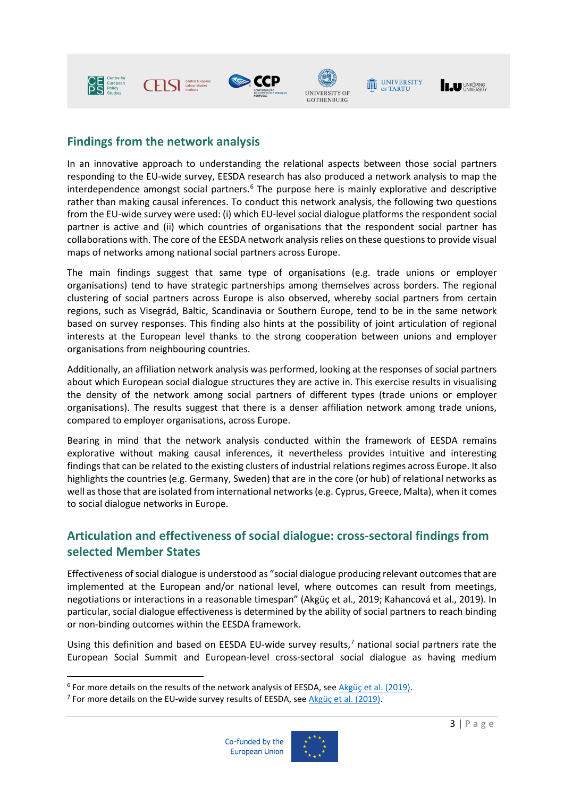





# UNIVERSITY



### **Findings from the network analysis**

In an innovative approach to understanding the relational aspects between those social partners responding to the EU-wide survey, EESDA research has also produced a network analysis to map the interdependence amongst social partners.<sup>[6](#page-2-0)</sup> The purpose here is mainly explorative and descriptive rather than making causal inferences. To conduct this network analysis, the following two questions from the EU-wide survey were used: (i) which EU-level social dialogue platforms the respondent social partner is active and (ii) which countries of organisations that the respondent social partner has collaborations with. The core of the EESDA network analysis relies on these questions to provide visual maps of networks among national social partners across Europe.

The main findings suggest that same type of organisations (e.g. trade unions or employer organisations) tend to have strategic partnerships among themselves across borders. The regional clustering of social partners across Europe is also observed, whereby social partners from certain regions, such as Visegrád, Baltic, Scandinavia or Southern Europe, tend to be in the same network based on survey responses. This finding also hints at the possibility of joint articulation of regional interests at the European level thanks to the strong cooperation between unions and employer organisations from neighbouring countries.

Additionally, an affiliation network analysis was performed, looking at the responses of social partners about which European social dialogue structures they are active in. This exercise results in visualising the density of the network among social partners of different types (trade unions or employer organisations). The results suggest that there is a denser affiliation network among trade unions, compared to employer organisations, across Europe.

Bearing in mind that the network analysis conducted within the framework of EESDA remains explorative without making causal inferences, it nevertheless provides intuitive and interesting findings that can be related to the existing clusters of industrial relations regimes across Europe. It also highlights the countries (e.g. Germany, Sweden) that are in the core (or hub) of relational networks as well as those that are isolated from international networks (e.g. Cyprus, Greece, Malta), when it comes to social dialogue networks in Europe.

### **Articulation and effectiveness of social dialogue: cross-sectoral findings from selected Member States**

Effectiveness of social dialogue is understood as "social dialogue producing relevant outcomes that are implemented at the European and/or national level, where outcomes can result from meetings, negotiations or interactions in a reasonable timespan" (Akgüç et al., 2019; Kahancová et al., 2019). In particular, social dialogue effectiveness is determined by the ability of social partners to reach binding or non-binding outcomes within the EESDA framework.

Using this definition and based on EESDA EU-wide survey results,<sup>[7](#page-2-1)</sup> national social partners rate the European Social Summit and European-level cross-sectoral social dialogue as having medium

<span id="page-2-1"></span>



<span id="page-2-0"></span><sup>&</sup>lt;sup>6</sup> For more details on the results of the network analysis of EESDA, see  $\frac{\text{Akgüç et al.} (2019)}{2}$ .<br><sup>7</sup> For more details on the EU-wide survey results of EESDA, see  $\frac{\text{Akgüç et al.} (2019)}{2}$ .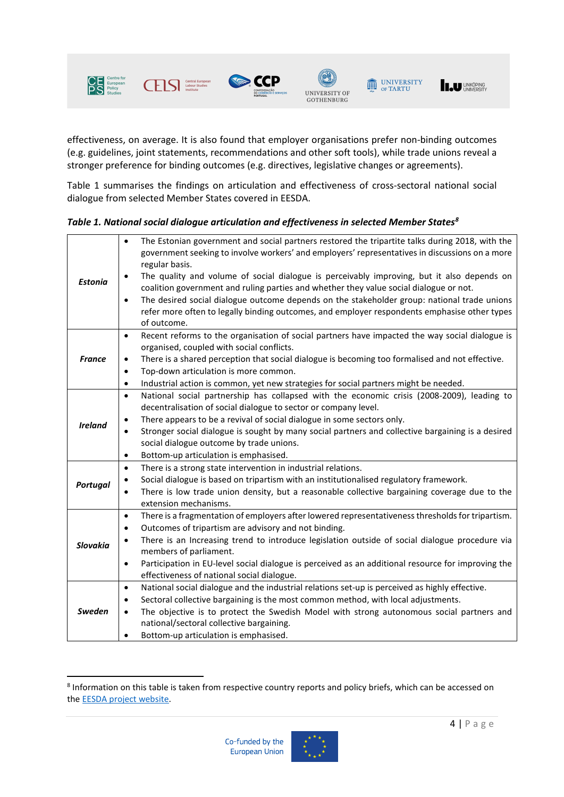

 $\Gamma$ 



 $\fbox{ \begin{minipage}{0.9\linewidth} \hline \rule{0pt}{2.4ex} \rule{0pt}{2.4ex} \rule{0pt}{2.4ex} \rule{0pt}{2.4ex} \rule{0pt}{2.4ex} \rule{0pt}{2.4ex} \rule{0pt}{2.4ex} \rule{0pt}{2.4ex} \rule{0pt}{2.4ex} \rule{0pt}{2.4ex} \rule{0pt}{2.4ex} \rule{0pt}{2.4ex} \rule{0pt}{2.4ex} \rule{0pt}{2.4ex} \rule{0pt}{2.4ex} \rule{0pt}{2.4ex} \rule{0pt}{2.4ex} \rule{0pt}{2.4ex} \rule{$ 



effectiveness, on average. It is also found that employer organisations prefer non-binding outcomes (e.g. guidelines, joint statements, recommendations and other soft tools), while trade unions reveal a stronger preference for binding outcomes (e.g. directives, legislative changes or agreements).

Table 1 summarises the findings on articulation and effectiveness of cross-sectoral national social dialogue from selected Member States covered in EESDA.

| <b>Estonia</b>  | The Estonian government and social partners restored the tripartite talks during 2018, with the<br>$\bullet$<br>government seeking to involve workers' and employers' representatives in discussions on a more<br>regular basis.<br>The quality and volume of social dialogue is perceivably improving, but it also depends on<br>$\bullet$<br>coalition government and ruling parties and whether they value social dialogue or not.<br>The desired social dialogue outcome depends on the stakeholder group: national trade unions<br>$\bullet$<br>refer more often to legally binding outcomes, and employer respondents emphasise other types<br>of outcome. |
|-----------------|------------------------------------------------------------------------------------------------------------------------------------------------------------------------------------------------------------------------------------------------------------------------------------------------------------------------------------------------------------------------------------------------------------------------------------------------------------------------------------------------------------------------------------------------------------------------------------------------------------------------------------------------------------------|
| <b>France</b>   | Recent reforms to the organisation of social partners have impacted the way social dialogue is<br>$\bullet$<br>organised, coupled with social conflicts.<br>There is a shared perception that social dialogue is becoming too formalised and not effective.<br>$\bullet$<br>Top-down articulation is more common.<br>$\bullet$<br>Industrial action is common, yet new strategies for social partners might be needed.<br>$\bullet$                                                                                                                                                                                                                              |
| <b>Ireland</b>  | National social partnership has collapsed with the economic crisis (2008-2009), leading to<br>$\bullet$<br>decentralisation of social dialogue to sector or company level.<br>There appears to be a revival of social dialogue in some sectors only.<br>$\bullet$<br>Stronger social dialogue is sought by many social partners and collective bargaining is a desired<br>$\bullet$<br>social dialogue outcome by trade unions.<br>Bottom-up articulation is emphasised.<br>$\bullet$                                                                                                                                                                            |
| <b>Portugal</b> | There is a strong state intervention in industrial relations.<br>$\bullet$<br>Social dialogue is based on tripartism with an institutionalised regulatory framework.<br>$\bullet$<br>There is low trade union density, but a reasonable collective bargaining coverage due to the<br>$\bullet$<br>extension mechanisms.                                                                                                                                                                                                                                                                                                                                          |
| <b>Slovakia</b> | There is a fragmentation of employers after lowered representativeness thresholds for tripartism.<br>$\bullet$<br>Outcomes of tripartism are advisory and not binding.<br>$\bullet$<br>There is an Increasing trend to introduce legislation outside of social dialogue procedure via<br>$\bullet$<br>members of parliament.<br>Participation in EU-level social dialogue is perceived as an additional resource for improving the<br>$\bullet$<br>effectiveness of national social dialogue.                                                                                                                                                                    |
| <b>Sweden</b>   | National social dialogue and the industrial relations set-up is perceived as highly effective.<br>$\bullet$<br>Sectoral collective bargaining is the most common method, with local adjustments.<br>$\bullet$<br>The objective is to protect the Swedish Model with strong autonomous social partners and<br>$\bullet$<br>national/sectoral collective bargaining.<br>Bottom-up articulation is emphasised.                                                                                                                                                                                                                                                      |

*Table 1. National social dialogue articulation and effectiveness in selected Member States[8](#page-3-0)*



<span id="page-3-0"></span><sup>8</sup> Information on this table is taken from respective country reports and policy briefs, which can be accessed on th[e EESDA project website.](https://celsi.sk/en/projects/detail/28/)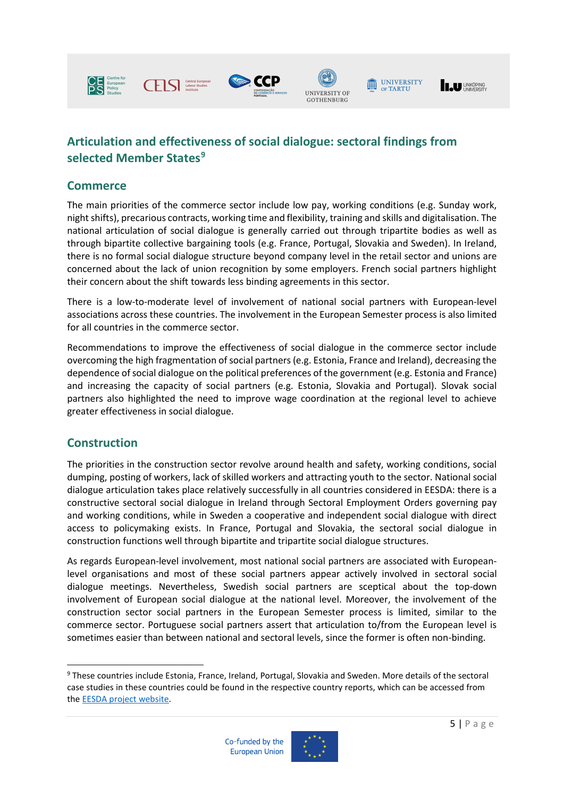

**CETS** Central European





## UNIVERSITY

**IN UNIVERSITY** 

### **Articulation and effectiveness of social dialogue: sectoral findings from selected Member States[9](#page-4-0)**

#### **Commerce**

The main priorities of the commerce sector include low pay, working conditions (e.g. Sunday work, night shifts), precarious contracts, working time and flexibility, training and skills and digitalisation. The national articulation of social dialogue is generally carried out through tripartite bodies as well as through bipartite collective bargaining tools (e.g. France, Portugal, Slovakia and Sweden). In Ireland, there is no formal social dialogue structure beyond company level in the retail sector and unions are concerned about the lack of union recognition by some employers. French social partners highlight their concern about the shift towards less binding agreements in this sector.

There is a low-to-moderate level of involvement of national social partners with European-level associations across these countries. The involvement in the European Semester process is also limited for all countries in the commerce sector.

Recommendations to improve the effectiveness of social dialogue in the commerce sector include overcoming the high fragmentation of social partners (e.g. Estonia, France and Ireland), decreasing the dependence ofsocial dialogue on the political preferences of the government (e.g. Estonia and France) and increasing the capacity of social partners (e.g. Estonia, Slovakia and Portugal). Slovak social partners also highlighted the need to improve wage coordination at the regional level to achieve greater effectiveness in social dialogue.

### **Construction**

The priorities in the construction sector revolve around health and safety, working conditions, social dumping, posting of workers, lack of skilled workers and attracting youth to the sector. National social dialogue articulation takes place relatively successfully in all countries considered in EESDA: there is a constructive sectoral social dialogue in Ireland through Sectoral Employment Orders governing pay and working conditions, while in Sweden a cooperative and independent social dialogue with direct access to policymaking exists. In France, Portugal and Slovakia, the sectoral social dialogue in construction functions well through bipartite and tripartite social dialogue structures.

As regards European-level involvement, most national social partners are associated with Europeanlevel organisations and most of these social partners appear actively involved in sectoral social dialogue meetings. Nevertheless, Swedish social partners are sceptical about the top-down involvement of European social dialogue at the national level. Moreover, the involvement of the construction sector social partners in the European Semester process is limited, similar to the commerce sector. Portuguese social partners assert that articulation to/from the European level is sometimes easier than between national and sectoral levels, since the former is often non-binding.

<span id="page-4-0"></span><sup>9</sup> These countries include Estonia, France, Ireland, Portugal, Slovakia and Sweden. More details of the sectoral case studies in these countries could be found in the respective country reports, which can be accessed from th[e EESDA project website.](https://celsi.sk/en/projects/detail/28/) 



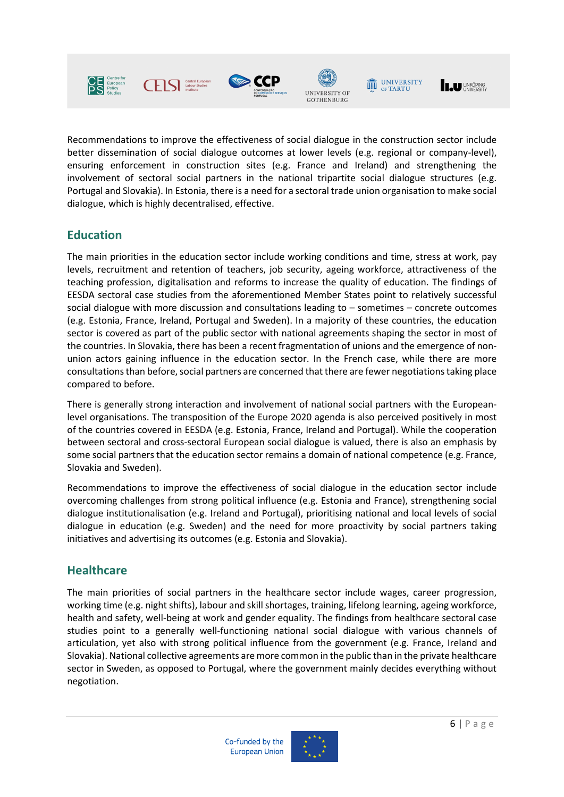

Recommendations to improve the effectiveness of social dialogue in the construction sector include better dissemination of social dialogue outcomes at lower levels (e.g. regional or company-level), ensuring enforcement in construction sites (e.g. France and Ireland) and strengthening the involvement of sectoral social partners in the national tripartite social dialogue structures (e.g. Portugal and Slovakia). In Estonia, there is a need for a sectoral trade union organisation to make social dialogue, which is highly decentralised, effective.

### **Education**

The main priorities in the education sector include working conditions and time, stress at work, pay levels, recruitment and retention of teachers, job security, ageing workforce, attractiveness of the teaching profession, digitalisation and reforms to increase the quality of education. The findings of EESDA sectoral case studies from the aforementioned Member States point to relatively successful social dialogue with more discussion and consultations leading to – sometimes – concrete outcomes (e.g. Estonia, France, Ireland, Portugal and Sweden). In a majority of these countries, the education sector is covered as part of the public sector with national agreements shaping the sector in most of the countries. In Slovakia, there has been a recent fragmentation of unions and the emergence of nonunion actors gaining influence in the education sector. In the French case, while there are more consultations than before, social partners are concerned that there are fewer negotiationstaking place compared to before.

There is generally strong interaction and involvement of national social partners with the Europeanlevel organisations. The transposition of the Europe 2020 agenda is also perceived positively in most of the countries covered in EESDA (e.g. Estonia, France, Ireland and Portugal). While the cooperation between sectoral and cross-sectoral European social dialogue is valued, there is also an emphasis by some social partners that the education sector remains a domain of national competence (e.g. France, Slovakia and Sweden).

Recommendations to improve the effectiveness of social dialogue in the education sector include overcoming challenges from strong political influence (e.g. Estonia and France), strengthening social dialogue institutionalisation (e.g. Ireland and Portugal), prioritising national and local levels of social dialogue in education (e.g. Sweden) and the need for more proactivity by social partners taking initiatives and advertising its outcomes (e.g. Estonia and Slovakia).

### **Healthcare**

The main priorities of social partners in the healthcare sector include wages, career progression, working time (e.g. night shifts), labour and skill shortages, training, lifelong learning, ageing workforce, health and safety, well-being at work and gender equality. The findings from healthcare sectoral case studies point to a generally well-functioning national social dialogue with various channels of articulation, yet also with strong political influence from the government (e.g. France, Ireland and Slovakia). National collective agreements are more common in the public than in the private healthcare sector in Sweden, as opposed to Portugal, where the government mainly decides everything without negotiation.



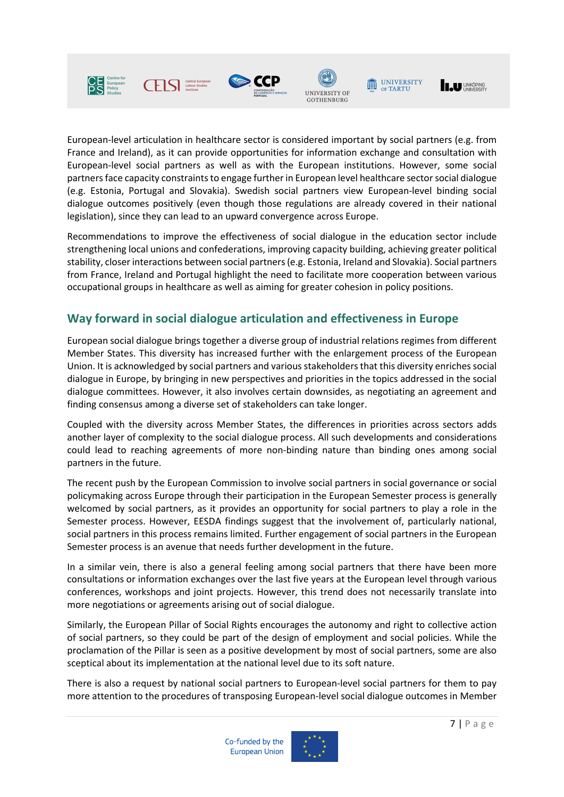





UNIVERSITY



European-level articulation in healthcare sector is considered important by social partners (e.g. from France and Ireland), as it can provide opportunities for information exchange and consultation with European-level social partners as well as with the European institutions. However, some social partners face capacity constraints to engage further in European level healthcare sector social dialogue (e.g. Estonia, Portugal and Slovakia). Swedish social partners view European-level binding social dialogue outcomes positively (even though those regulations are already covered in their national legislation), since they can lead to an upward convergence across Europe.

Recommendations to improve the effectiveness of social dialogue in the education sector include strengthening local unions and confederations, improving capacity building, achieving greater political stability, closer interactions between social partners (e.g. Estonia, Ireland and Slovakia). Social partners from France, Ireland and Portugal highlight the need to facilitate more cooperation between various occupational groups in healthcare as well as aiming for greater cohesion in policy positions.

### **Way forward in social dialogue articulation and effectiveness in Europe**

European social dialogue brings together a diverse group of industrial relations regimes from different Member States. This diversity has increased further with the enlargement process of the European Union. It is acknowledged by social partners and various stakeholders that this diversity enriches social dialogue in Europe, by bringing in new perspectives and priorities in the topics addressed in the social dialogue committees. However, it also involves certain downsides, as negotiating an agreement and finding consensus among a diverse set of stakeholders can take longer.

Coupled with the diversity across Member States, the differences in priorities across sectors adds another layer of complexity to the social dialogue process. All such developments and considerations could lead to reaching agreements of more non-binding nature than binding ones among social partners in the future.

The recent push by the European Commission to involve social partners in social governance or social policymaking across Europe through their participation in the European Semester process is generally welcomed by social partners, as it provides an opportunity for social partners to play a role in the Semester process. However, EESDA findings suggest that the involvement of, particularly national, social partners in this process remains limited. Further engagement of social partners in the European Semester process is an avenue that needs further development in the future.

In a similar vein, there is also a general feeling among social partners that there have been more consultations or information exchanges over the last five years at the European level through various conferences, workshops and joint projects. However, this trend does not necessarily translate into more negotiations or agreements arising out of social dialogue.

Similarly, the European Pillar of Social Rights encourages the autonomy and right to collective action of social partners, so they could be part of the design of employment and social policies. While the proclamation of the Pillar is seen as a positive development by most of social partners, some are also sceptical about its implementation at the national level due to its soft nature.

There is also a request by national social partners to European-level social partners for them to pay more attention to the procedures of transposing European-level social dialogue outcomes in Member